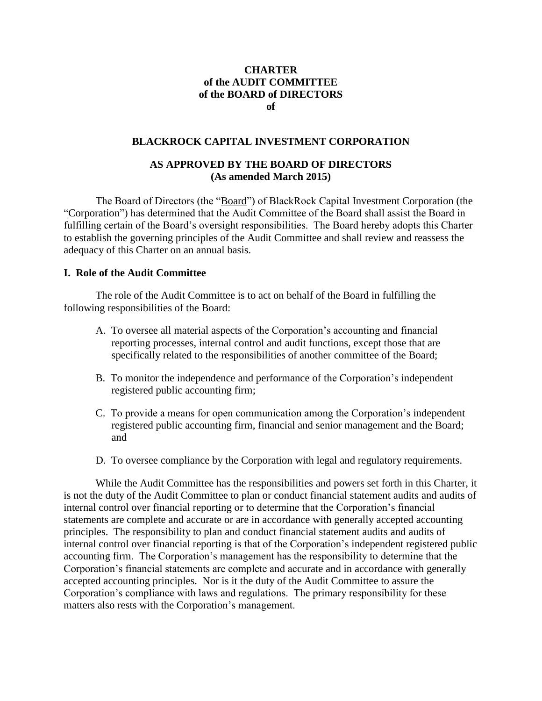### **CHARTER of the AUDIT COMMITTEE of the BOARD of DIRECTORS of**

#### **BLACKROCK CAPITAL INVESTMENT CORPORATION**

### **AS APPROVED BY THE BOARD OF DIRECTORS (As amended March 2015)**

The Board of Directors (the "Board") of BlackRock Capital Investment Corporation (the "Corporation") has determined that the Audit Committee of the Board shall assist the Board in fulfilling certain of the Board's oversight responsibilities. The Board hereby adopts this Charter to establish the governing principles of the Audit Committee and shall review and reassess the adequacy of this Charter on an annual basis.

#### **I. Role of the Audit Committee**

The role of the Audit Committee is to act on behalf of the Board in fulfilling the following responsibilities of the Board:

- A. To oversee all material aspects of the Corporation's accounting and financial reporting processes, internal control and audit functions, except those that are specifically related to the responsibilities of another committee of the Board;
- B. To monitor the independence and performance of the Corporation's independent registered public accounting firm;
- C. To provide a means for open communication among the Corporation's independent registered public accounting firm, financial and senior management and the Board; and
- D. To oversee compliance by the Corporation with legal and regulatory requirements.

While the Audit Committee has the responsibilities and powers set forth in this Charter, it is not the duty of the Audit Committee to plan or conduct financial statement audits and audits of internal control over financial reporting or to determine that the Corporation's financial statements are complete and accurate or are in accordance with generally accepted accounting principles. The responsibility to plan and conduct financial statement audits and audits of internal control over financial reporting is that of the Corporation's independent registered public accounting firm. The Corporation's management has the responsibility to determine that the Corporation's financial statements are complete and accurate and in accordance with generally accepted accounting principles. Nor is it the duty of the Audit Committee to assure the Corporation's compliance with laws and regulations. The primary responsibility for these matters also rests with the Corporation's management.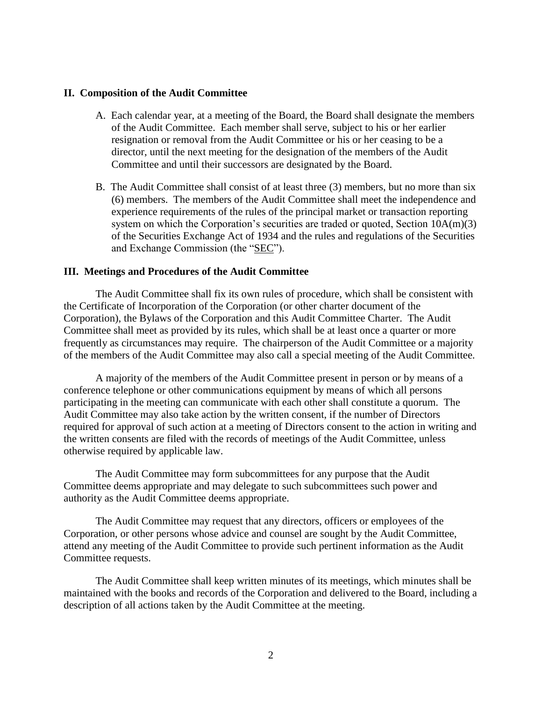#### **II. Composition of the Audit Committee**

- A. Each calendar year, at a meeting of the Board, the Board shall designate the members of the Audit Committee. Each member shall serve, subject to his or her earlier resignation or removal from the Audit Committee or his or her ceasing to be a director, until the next meeting for the designation of the members of the Audit Committee and until their successors are designated by the Board.
- B. The Audit Committee shall consist of at least three (3) members, but no more than six (6) members. The members of the Audit Committee shall meet the independence and experience requirements of the rules of the principal market or transaction reporting system on which the Corporation's securities are traded or quoted, Section 10A(m)(3) of the Securities Exchange Act of 1934 and the rules and regulations of the Securities and Exchange Commission (the "SEC").

#### **III. Meetings and Procedures of the Audit Committee**

The Audit Committee shall fix its own rules of procedure, which shall be consistent with the Certificate of Incorporation of the Corporation (or other charter document of the Corporation), the Bylaws of the Corporation and this Audit Committee Charter. The Audit Committee shall meet as provided by its rules, which shall be at least once a quarter or more frequently as circumstances may require. The chairperson of the Audit Committee or a majority of the members of the Audit Committee may also call a special meeting of the Audit Committee.

A majority of the members of the Audit Committee present in person or by means of a conference telephone or other communications equipment by means of which all persons participating in the meeting can communicate with each other shall constitute a quorum. The Audit Committee may also take action by the written consent, if the number of Directors required for approval of such action at a meeting of Directors consent to the action in writing and the written consents are filed with the records of meetings of the Audit Committee, unless otherwise required by applicable law.

The Audit Committee may form subcommittees for any purpose that the Audit Committee deems appropriate and may delegate to such subcommittees such power and authority as the Audit Committee deems appropriate.

The Audit Committee may request that any directors, officers or employees of the Corporation, or other persons whose advice and counsel are sought by the Audit Committee, attend any meeting of the Audit Committee to provide such pertinent information as the Audit Committee requests.

The Audit Committee shall keep written minutes of its meetings, which minutes shall be maintained with the books and records of the Corporation and delivered to the Board, including a description of all actions taken by the Audit Committee at the meeting.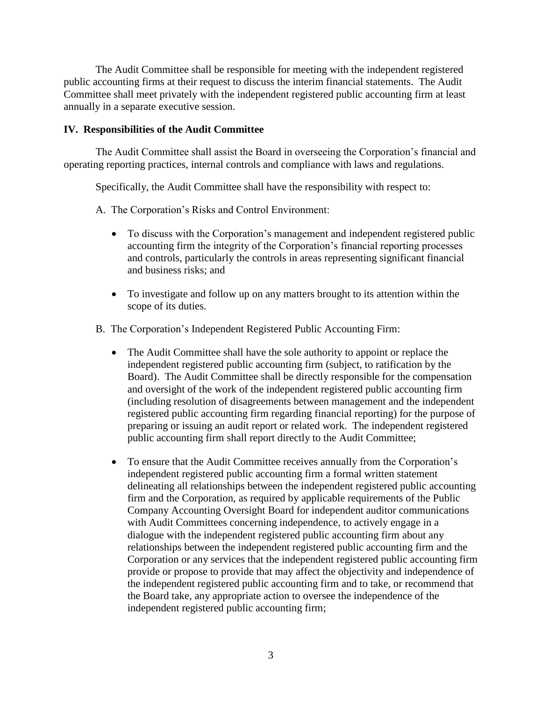The Audit Committee shall be responsible for meeting with the independent registered public accounting firms at their request to discuss the interim financial statements. The Audit Committee shall meet privately with the independent registered public accounting firm at least annually in a separate executive session.

### **IV. Responsibilities of the Audit Committee**

The Audit Committee shall assist the Board in overseeing the Corporation's financial and operating reporting practices, internal controls and compliance with laws and regulations.

Specifically, the Audit Committee shall have the responsibility with respect to:

- A. The Corporation's Risks and Control Environment:
	- To discuss with the Corporation's management and independent registered public accounting firm the integrity of the Corporation's financial reporting processes and controls, particularly the controls in areas representing significant financial and business risks; and
	- To investigate and follow up on any matters brought to its attention within the scope of its duties.
- B. The Corporation's Independent Registered Public Accounting Firm:
	- The Audit Committee shall have the sole authority to appoint or replace the independent registered public accounting firm (subject, to ratification by the Board). The Audit Committee shall be directly responsible for the compensation and oversight of the work of the independent registered public accounting firm (including resolution of disagreements between management and the independent registered public accounting firm regarding financial reporting) for the purpose of preparing or issuing an audit report or related work. The independent registered public accounting firm shall report directly to the Audit Committee;
	- To ensure that the Audit Committee receives annually from the Corporation's independent registered public accounting firm a formal written statement delineating all relationships between the independent registered public accounting firm and the Corporation, as required by applicable requirements of the Public Company Accounting Oversight Board for independent auditor communications with Audit Committees concerning independence, to actively engage in a dialogue with the independent registered public accounting firm about any relationships between the independent registered public accounting firm and the Corporation or any services that the independent registered public accounting firm provide or propose to provide that may affect the objectivity and independence of the independent registered public accounting firm and to take, or recommend that the Board take, any appropriate action to oversee the independence of the independent registered public accounting firm;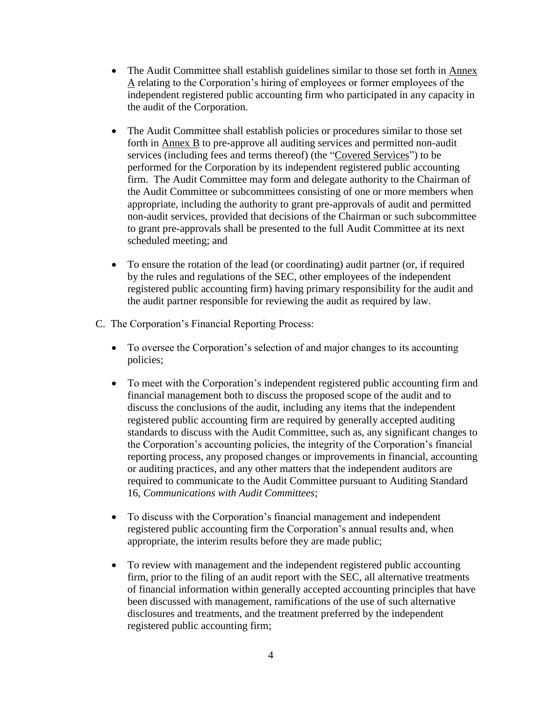- The Audit Committee shall establish guidelines similar to those set forth in Annex A relating to the Corporation's hiring of employees or former employees of the independent registered public accounting firm who participated in any capacity in the audit of the Corporation.
- The Audit Committee shall establish policies or procedures similar to those set forth in Annex B to pre-approve all auditing services and permitted non-audit services (including fees and terms thereof) (the "Covered Services") to be performed for the Corporation by its independent registered public accounting firm. The Audit Committee may form and delegate authority to the Chairman of the Audit Committee or subcommittees consisting of one or more members when appropriate, including the authority to grant pre-approvals of audit and permitted non-audit services, provided that decisions of the Chairman or such subcommittee to grant pre-approvals shall be presented to the full Audit Committee at its next scheduled meeting; and
- To ensure the rotation of the lead (or coordinating) audit partner (or, if required by the rules and regulations of the SEC, other employees of the independent registered public accounting firm) having primary responsibility for the audit and the audit partner responsible for reviewing the audit as required by law.
- C. The Corporation's Financial Reporting Process:
	- To oversee the Corporation's selection of and major changes to its accounting policies;
	- To meet with the Corporation's independent registered public accounting firm and financial management both to discuss the proposed scope of the audit and to discuss the conclusions of the audit, including any items that the independent registered public accounting firm are required by generally accepted auditing standards to discuss with the Audit Committee, such as, any significant changes to the Corporation's accounting policies, the integrity of the Corporation's financial reporting process, any proposed changes or improvements in financial, accounting or auditing practices, and any other matters that the independent auditors are required to communicate to the Audit Committee pursuant to Auditing Standard 16, *Communications with Audit Committees*;
	- To discuss with the Corporation's financial management and independent registered public accounting firm the Corporation's annual results and, when appropriate, the interim results before they are made public;
	- To review with management and the independent registered public accounting firm, prior to the filing of an audit report with the SEC, all alternative treatments of financial information within generally accepted accounting principles that have been discussed with management, ramifications of the use of such alternative disclosures and treatments, and the treatment preferred by the independent registered public accounting firm;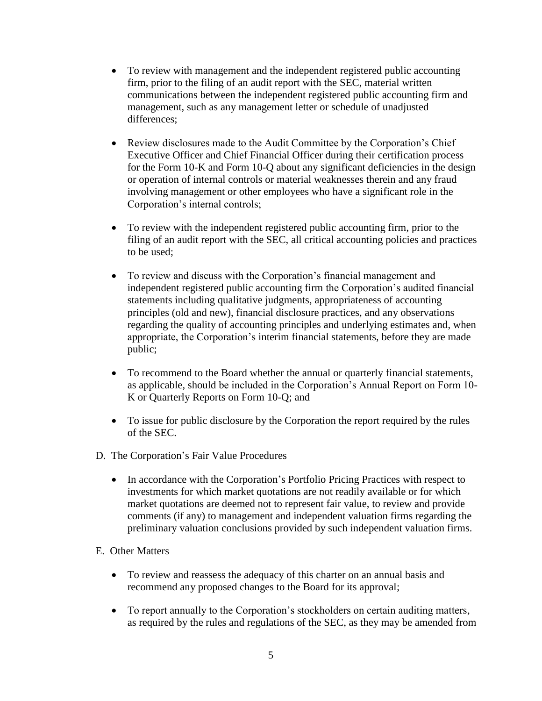- To review with management and the independent registered public accounting firm, prior to the filing of an audit report with the SEC, material written communications between the independent registered public accounting firm and management, such as any management letter or schedule of unadjusted differences:
- Review disclosures made to the Audit Committee by the Corporation's Chief Executive Officer and Chief Financial Officer during their certification process for the Form 10-K and Form 10-Q about any significant deficiencies in the design or operation of internal controls or material weaknesses therein and any fraud involving management or other employees who have a significant role in the Corporation's internal controls;
- To review with the independent registered public accounting firm, prior to the filing of an audit report with the SEC, all critical accounting policies and practices to be used;
- To review and discuss with the Corporation's financial management and independent registered public accounting firm the Corporation's audited financial statements including qualitative judgments, appropriateness of accounting principles (old and new), financial disclosure practices, and any observations regarding the quality of accounting principles and underlying estimates and, when appropriate, the Corporation's interim financial statements, before they are made public;
- To recommend to the Board whether the annual or quarterly financial statements, as applicable, should be included in the Corporation's Annual Report on Form 10- K or Quarterly Reports on Form 10-Q; and
- To issue for public disclosure by the Corporation the report required by the rules of the SEC.
- D. The Corporation's Fair Value Procedures
	- In accordance with the Corporation's Portfolio Pricing Practices with respect to investments for which market quotations are not readily available or for which market quotations are deemed not to represent fair value, to review and provide comments (if any) to management and independent valuation firms regarding the preliminary valuation conclusions provided by such independent valuation firms.
- E. Other Matters
	- To review and reassess the adequacy of this charter on an annual basis and recommend any proposed changes to the Board for its approval;
	- To report annually to the Corporation's stockholders on certain auditing matters, as required by the rules and regulations of the SEC, as they may be amended from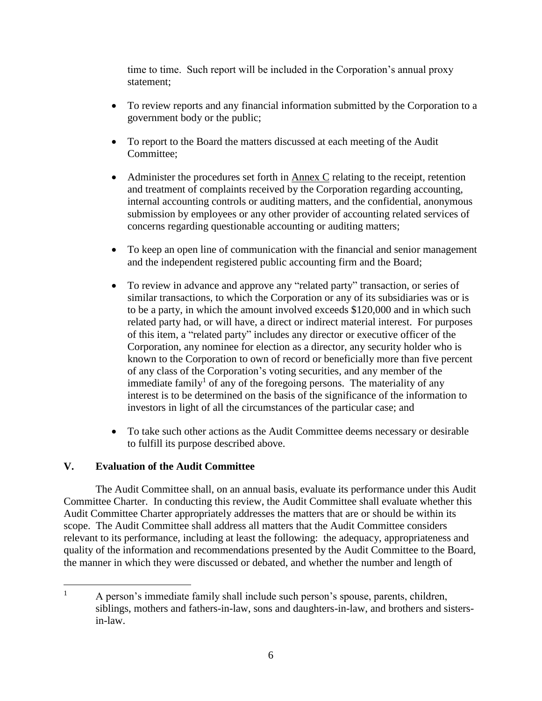time to time. Such report will be included in the Corporation's annual proxy statement;

- To review reports and any financial information submitted by the Corporation to a government body or the public;
- To report to the Board the matters discussed at each meeting of the Audit Committee;
- Administer the procedures set forth in Annex C relating to the receipt, retention and treatment of complaints received by the Corporation regarding accounting, internal accounting controls or auditing matters, and the confidential, anonymous submission by employees or any other provider of accounting related services of concerns regarding questionable accounting or auditing matters;
- To keep an open line of communication with the financial and senior management and the independent registered public accounting firm and the Board;
- To review in advance and approve any "related party" transaction, or series of similar transactions, to which the Corporation or any of its subsidiaries was or is to be a party, in which the amount involved exceeds \$120,000 and in which such related party had, or will have, a direct or indirect material interest. For purposes of this item, a "related party" includes any director or executive officer of the Corporation, any nominee for election as a director, any security holder who is known to the Corporation to own of record or beneficially more than five percent of any class of the Corporation's voting securities, and any member of the immediate family<sup>1</sup> of any of the foregoing persons. The materiality of any interest is to be determined on the basis of the significance of the information to investors in light of all the circumstances of the particular case; and
- To take such other actions as the Audit Committee deems necessary or desirable to fulfill its purpose described above.

# **V. Evaluation of the Audit Committee**

The Audit Committee shall, on an annual basis, evaluate its performance under this Audit Committee Charter. In conducting this review, the Audit Committee shall evaluate whether this Audit Committee Charter appropriately addresses the matters that are or should be within its scope. The Audit Committee shall address all matters that the Audit Committee considers relevant to its performance, including at least the following: the adequacy, appropriateness and quality of the information and recommendations presented by the Audit Committee to the Board, the manner in which they were discussed or debated, and whether the number and length of

 $\mathbf{1}$ <sup>1</sup> A person's immediate family shall include such person's spouse, parents, children, siblings, mothers and fathers-in-law, sons and daughters-in-law, and brothers and sistersin-law.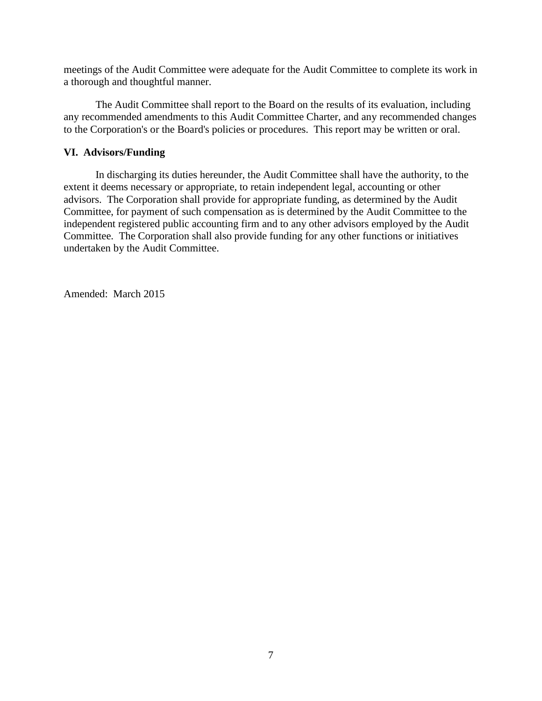meetings of the Audit Committee were adequate for the Audit Committee to complete its work in a thorough and thoughtful manner.

The Audit Committee shall report to the Board on the results of its evaluation, including any recommended amendments to this Audit Committee Charter, and any recommended changes to the Corporation's or the Board's policies or procedures. This report may be written or oral.

## **VI. Advisors/Funding**

In discharging its duties hereunder, the Audit Committee shall have the authority, to the extent it deems necessary or appropriate, to retain independent legal, accounting or other advisors. The Corporation shall provide for appropriate funding, as determined by the Audit Committee, for payment of such compensation as is determined by the Audit Committee to the independent registered public accounting firm and to any other advisors employed by the Audit Committee. The Corporation shall also provide funding for any other functions or initiatives undertaken by the Audit Committee.

Amended: March 2015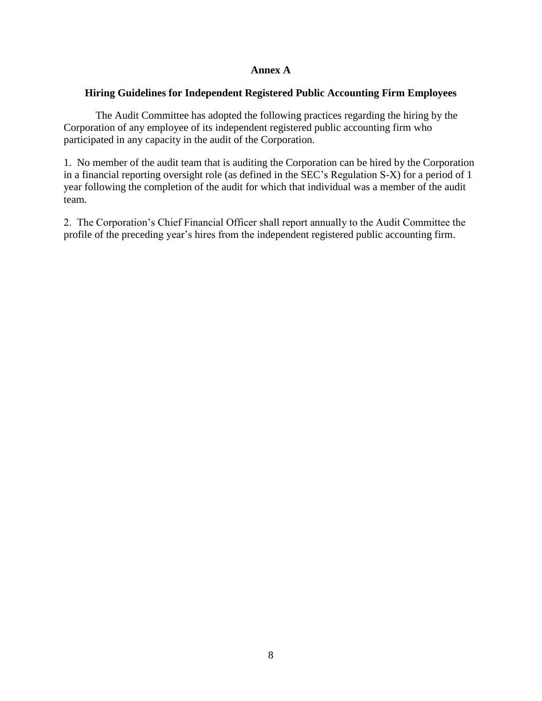## **Annex A**

## **Hiring Guidelines for Independent Registered Public Accounting Firm Employees**

The Audit Committee has adopted the following practices regarding the hiring by the Corporation of any employee of its independent registered public accounting firm who participated in any capacity in the audit of the Corporation.

1. No member of the audit team that is auditing the Corporation can be hired by the Corporation in a financial reporting oversight role (as defined in the SEC's Regulation S-X) for a period of 1 year following the completion of the audit for which that individual was a member of the audit team.

2. The Corporation's Chief Financial Officer shall report annually to the Audit Committee the profile of the preceding year's hires from the independent registered public accounting firm.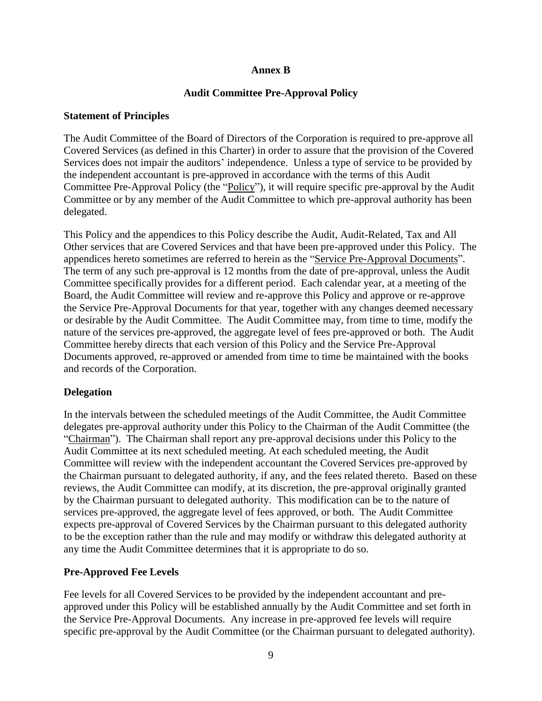# **Annex B**

## **Audit Committee Pre-Approval Policy**

#### **Statement of Principles**

The Audit Committee of the Board of Directors of the Corporation is required to pre-approve all Covered Services (as defined in this Charter) in order to assure that the provision of the Covered Services does not impair the auditors' independence. Unless a type of service to be provided by the independent accountant is pre-approved in accordance with the terms of this Audit Committee Pre-Approval Policy (the "Policy"), it will require specific pre-approval by the Audit Committee or by any member of the Audit Committee to which pre-approval authority has been delegated.

This Policy and the appendices to this Policy describe the Audit, Audit-Related, Tax and All Other services that are Covered Services and that have been pre-approved under this Policy. The appendices hereto sometimes are referred to herein as the "Service Pre-Approval Documents". The term of any such pre-approval is 12 months from the date of pre-approval, unless the Audit Committee specifically provides for a different period. Each calendar year, at a meeting of the Board, the Audit Committee will review and re-approve this Policy and approve or re-approve the Service Pre-Approval Documents for that year, together with any changes deemed necessary or desirable by the Audit Committee. The Audit Committee may, from time to time, modify the nature of the services pre-approved, the aggregate level of fees pre-approved or both. The Audit Committee hereby directs that each version of this Policy and the Service Pre-Approval Documents approved, re-approved or amended from time to time be maintained with the books and records of the Corporation.

### **Delegation**

In the intervals between the scheduled meetings of the Audit Committee, the Audit Committee delegates pre-approval authority under this Policy to the Chairman of the Audit Committee (the "Chairman"). The Chairman shall report any pre-approval decisions under this Policy to the Audit Committee at its next scheduled meeting. At each scheduled meeting, the Audit Committee will review with the independent accountant the Covered Services pre-approved by the Chairman pursuant to delegated authority, if any, and the fees related thereto. Based on these reviews, the Audit Committee can modify, at its discretion, the pre-approval originally granted by the Chairman pursuant to delegated authority. This modification can be to the nature of services pre-approved, the aggregate level of fees approved, or both. The Audit Committee expects pre-approval of Covered Services by the Chairman pursuant to this delegated authority to be the exception rather than the rule and may modify or withdraw this delegated authority at any time the Audit Committee determines that it is appropriate to do so.

### **Pre-Approved Fee Levels**

Fee levels for all Covered Services to be provided by the independent accountant and preapproved under this Policy will be established annually by the Audit Committee and set forth in the Service Pre-Approval Documents. Any increase in pre-approved fee levels will require specific pre-approval by the Audit Committee (or the Chairman pursuant to delegated authority).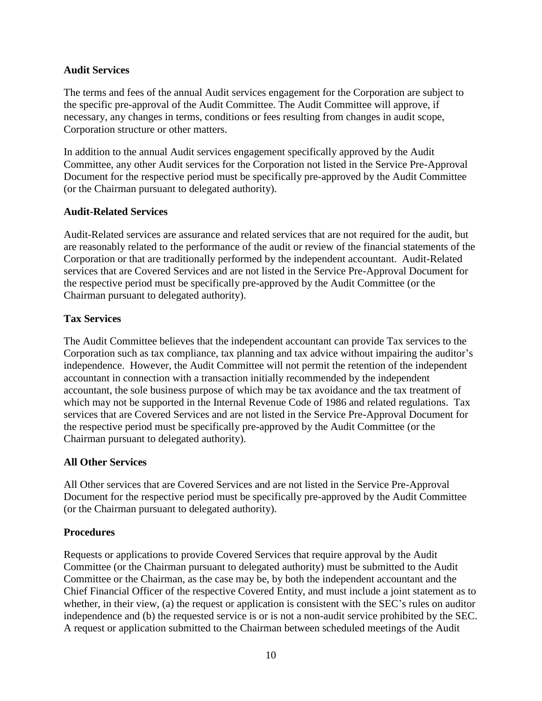## **Audit Services**

The terms and fees of the annual Audit services engagement for the Corporation are subject to the specific pre-approval of the Audit Committee. The Audit Committee will approve, if necessary, any changes in terms, conditions or fees resulting from changes in audit scope, Corporation structure or other matters.

In addition to the annual Audit services engagement specifically approved by the Audit Committee, any other Audit services for the Corporation not listed in the Service Pre-Approval Document for the respective period must be specifically pre-approved by the Audit Committee (or the Chairman pursuant to delegated authority).

## **Audit-Related Services**

Audit-Related services are assurance and related services that are not required for the audit, but are reasonably related to the performance of the audit or review of the financial statements of the Corporation or that are traditionally performed by the independent accountant. Audit-Related services that are Covered Services and are not listed in the Service Pre-Approval Document for the respective period must be specifically pre-approved by the Audit Committee (or the Chairman pursuant to delegated authority).

# **Tax Services**

The Audit Committee believes that the independent accountant can provide Tax services to the Corporation such as tax compliance, tax planning and tax advice without impairing the auditor's independence. However, the Audit Committee will not permit the retention of the independent accountant in connection with a transaction initially recommended by the independent accountant, the sole business purpose of which may be tax avoidance and the tax treatment of which may not be supported in the Internal Revenue Code of 1986 and related regulations. Tax services that are Covered Services and are not listed in the Service Pre-Approval Document for the respective period must be specifically pre-approved by the Audit Committee (or the Chairman pursuant to delegated authority).

# **All Other Services**

All Other services that are Covered Services and are not listed in the Service Pre-Approval Document for the respective period must be specifically pre-approved by the Audit Committee (or the Chairman pursuant to delegated authority).

### **Procedures**

Requests or applications to provide Covered Services that require approval by the Audit Committee (or the Chairman pursuant to delegated authority) must be submitted to the Audit Committee or the Chairman, as the case may be, by both the independent accountant and the Chief Financial Officer of the respective Covered Entity, and must include a joint statement as to whether, in their view, (a) the request or application is consistent with the SEC's rules on auditor independence and (b) the requested service is or is not a non-audit service prohibited by the SEC. A request or application submitted to the Chairman between scheduled meetings of the Audit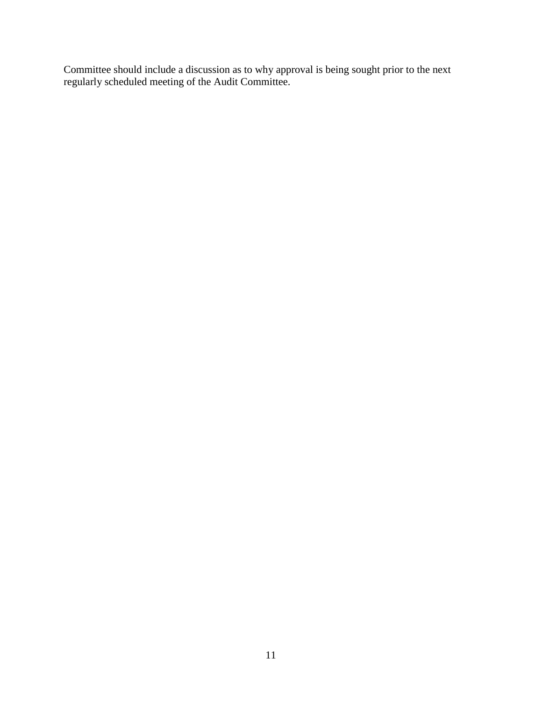Committee should include a discussion as to why approval is being sought prior to the next regularly scheduled meeting of the Audit Committee.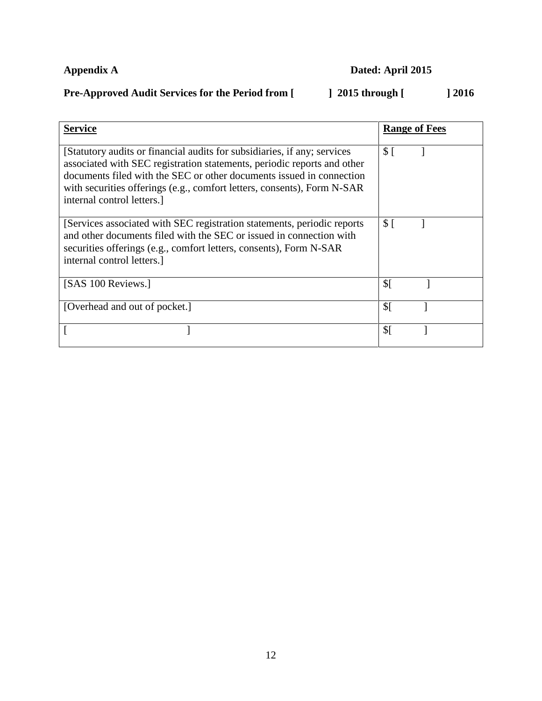# **Appendix A** Dated: April 2015

# Pre-Approved Audit Services for the Period from [ ] 2015 through [ ] 2016

| <b>Service</b>                                                                                                                                                                                                                                                                                                                      | <b>Range of Fees</b> |
|-------------------------------------------------------------------------------------------------------------------------------------------------------------------------------------------------------------------------------------------------------------------------------------------------------------------------------------|----------------------|
| [Statutory audits or financial audits for subsidiaries, if any; services<br>associated with SEC registration statements, periodic reports and other<br>documents filed with the SEC or other documents issued in connection<br>with securities offerings (e.g., comfort letters, consents), Form N-SAR<br>internal control letters. | \$I                  |
| [Services associated with SEC registration statements, periodic reports<br>and other documents filed with the SEC or issued in connection with<br>securities offerings (e.g., comfort letters, consents), Form N-SAR<br>internal control letters.                                                                                   | \$I                  |
| [SAS 100 Reviews.]                                                                                                                                                                                                                                                                                                                  | $\mathcal{S}$ [      |
| [Overhead and out of pocket.]                                                                                                                                                                                                                                                                                                       | $\mathcal{S}$ [      |
|                                                                                                                                                                                                                                                                                                                                     | $\mathcal{S}$ [      |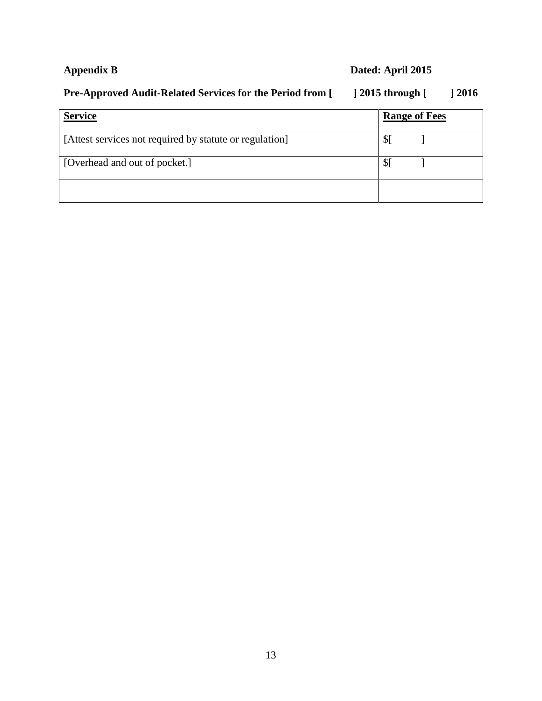# **Appendix B Dated: April 2015**

# **Pre-Approved Audit-Related Services for the Period from [ ] 2015 through [ ] 2016**

| <b>Service</b>                                          | <b>Range of Fees</b> |  |
|---------------------------------------------------------|----------------------|--|
| [Attest services not required by statute or regulation] |                      |  |
| [Overhead and out of pocket.]                           |                      |  |
|                                                         |                      |  |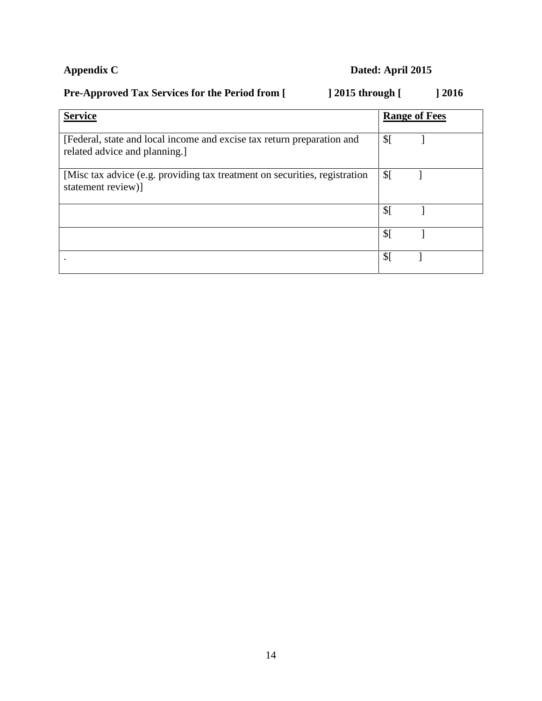# **Appendix C Dated: April 2015**

# Pre-Approved Tax Services for the Period from [ ] 2015 through [ ] 2016

| <b>Service</b>                                                                                          | <b>Range of Fees</b> |
|---------------------------------------------------------------------------------------------------------|----------------------|
| [Federal, state and local income and excise tax return preparation and<br>related advice and planning.] | $\mathcal{S}$ [      |
| [Misc tax advice (e.g. providing tax treatment on securities, registration<br>statement review)]        | $\mathcal{S}$ [      |
|                                                                                                         | \$[                  |
|                                                                                                         | $\mathcal{S}$ [      |
|                                                                                                         | $\mathcal{S}$        |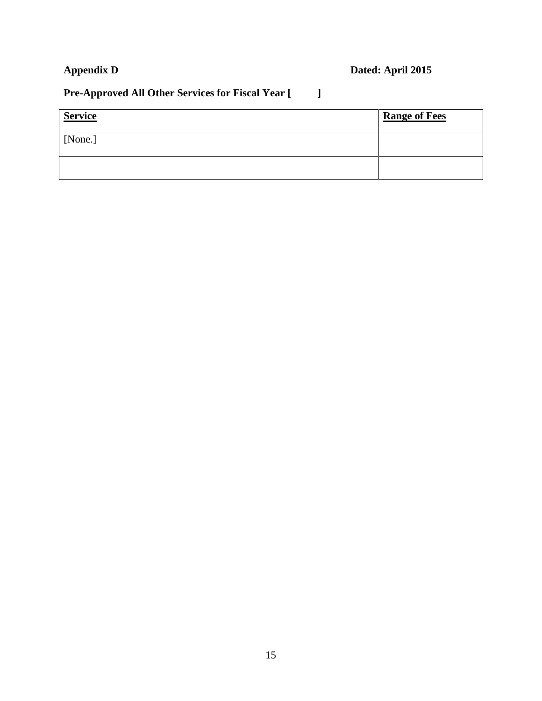# **Appendix D Dated: April 2015**

# **Pre-Approved All Other Services for Fiscal Year [ ]**

| <b>Service</b> | <b>Range of Fees</b> |
|----------------|----------------------|
| [None.]        |                      |
|                |                      |